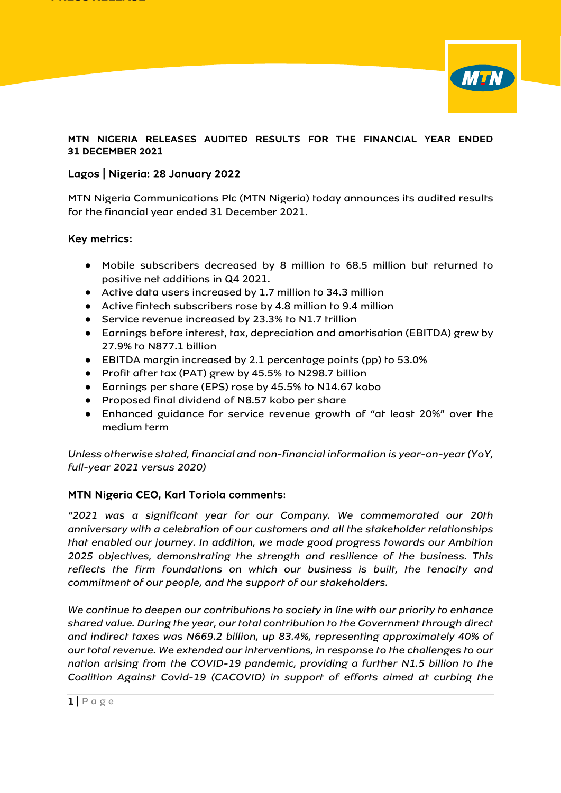

### MTN NIGERIA RELEASES AUDITED RESULTS FOR THE FINANCIAL YEAR ENDED 31 DECEMBER 2021

## Lagos | Nigeria: 28 January 2022

MTN Nigeria Communications Plc (MTN Nigeria) today announces its audited results for the financial year ended 31 December 2021.

#### Key metrics:

- Mobile subscribers decreased by 8 million to 68.5 million but returned to positive net additions in Q4 2021.
- Active data users increased by 1.7 million to 34.3 million
- Active fintech subscribers rose by 4.8 million to 9.4 million
- Service revenue increased by 23.3% to N1.7 trillion
- Earnings before interest, tax, depreciation and amortisation (EBITDA) grew by 27.9% to N877.1 billion
- EBITDA margin increased by 2.1 percentage points (pp) to 53.0%
- Profit after tax (PAT) grew by 45.5% to N298.7 billion
- Earnings per share (EPS) rose by 45.5% to N14.67 kobo
- Proposed final dividend of N8.57 kobo per share
- Enhanced guidance for service revenue growth of "at least 20%" over the medium term

*Unless otherwise stated, financial and non-financial information is year-on-year (YoY, full-year 2021 versus 2020)*

# MTN Nigeria CEO, Karl Toriola comments:

*"2021 was a significant year for our Company. We commemorated our 20th anniversary with a celebration of our customers and all the stakeholder relationships that enabled our journey. In addition, we made good progress towards our Ambition 2025 objectives, demonstrating the strength and resilience of the business. This reflects the firm foundations on which our business is built, the tenacity and commitment of our people, and the support of our stakeholders.*

*We continue to deepen our contributions to society in line with our priority to enhance shared value. During the year, our total contribution to the Government through direct and indirect taxes was N669.2 billion, up 83.4%, representing approximately 40% of our total revenue. We extended our interventions, in response to the challenges to our nation arising from the COVID-19 pandemic, providing a further N1.5 billion to the Coalition Against Covid-19 (CACOVID) in support of efforts aimed at curbing the*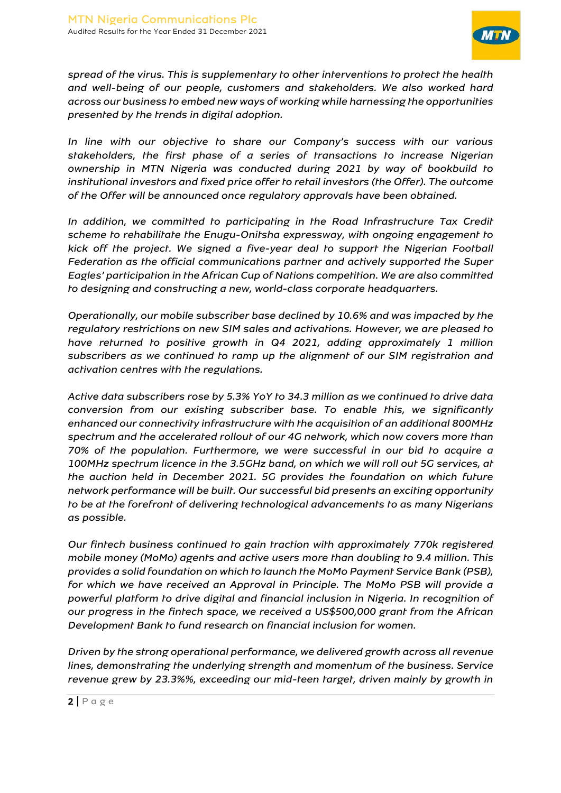

*spread of the virus. This is supplementary to other interventions to protect the health and well-being of our people, customers and stakeholders. We also worked hard across our business to embed new ways of working while harnessing the opportunities presented by the trends in digital adoption.*

*In line with our objective to share our Company's success with our various stakeholders, the first phase of a series of transactions to increase Nigerian ownership in MTN Nigeria was conducted during 2021 by way of bookbuild to institutional investors and fixed price offer to retail investors (the Offer). The outcome of the Offer will be announced once regulatory approvals have been obtained.*

*In addition, we committed to participating in the Road Infrastructure Tax Credit scheme to rehabilitate the Enugu-Onitsha expressway, with ongoing engagement to kick off the project. We signed a five-year deal to support the Nigerian Football Federation as the official communications partner and actively supported the Super Eagles' participation in the African Cup of Nations competition. We are also committed to designing and constructing a new, world-class corporate headquarters.*

*Operationally, our mobile subscriber base declined by 10.6% and was impacted by the regulatory restrictions on new SIM sales and activations. However, we are pleased to have returned to positive growth in Q4 2021, adding approximately 1 million subscribers as we continued to ramp up the alignment of our SIM registration and activation centres with the regulations.* 

*Active data subscribers rose by 5.3% YoY to 34.3 million as we continued to drive data conversion from our existing subscriber base. To enable this, we significantly enhanced our connectivity infrastructure with the acquisition of an additional 800MHz spectrum and the accelerated rollout of our 4G network, which now covers more than 70% of the population. Furthermore, we were successful in our bid to acquire a 100MHz spectrum licence in the 3.5GHz band, on which we will roll out 5G services, at the auction held in December 2021. 5G provides the foundation on which future network performance will be built. Our successful bid presents an exciting opportunity to be at the forefront of delivering technological advancements to as many Nigerians as possible.*

*Our fintech business continued to gain traction with approximately 770k registered mobile money (MoMo) agents and active users more than doubling to 9.4 million. This provides a solid foundation on which to launch the MoMo Payment Service Bank (PSB), for which we have received an Approval in Principle. The MoMo PSB will provide a powerful platform to drive digital and financial inclusion in Nigeria. In recognition of our progress in the fintech space, we received a US\$500,000 grant from the African Development Bank to fund research on financial inclusion for women.*

*Driven by the strong operational performance, we delivered growth across all revenue lines, demonstrating the underlying strength and momentum of the business. Service revenue grew by 23.3%%, exceeding our mid-teen target, driven mainly by growth in*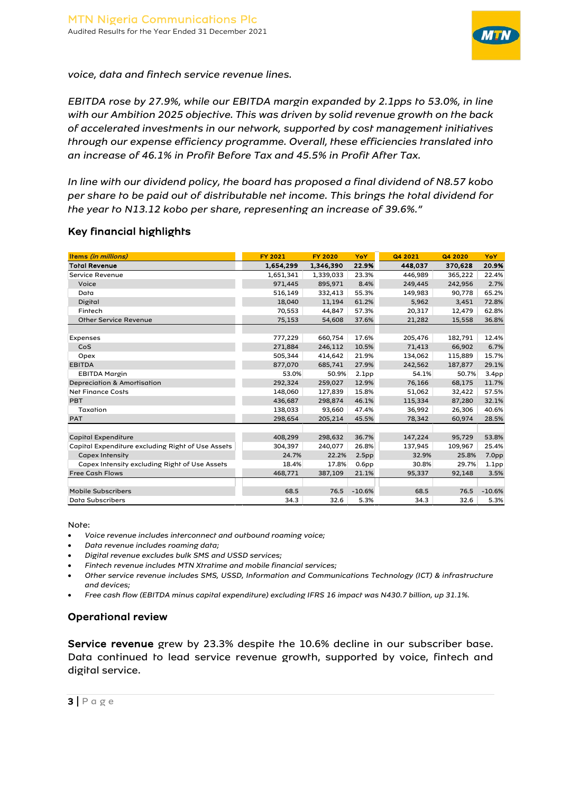

*voice, data and fintech service revenue lines.*

*EBITDA rose by 27.9%, while our EBITDA margin expanded by 2.1pps to 53.0%, in line with our Ambition 2025 objective. This was driven by solid revenue growth on the back of accelerated investments in our network, supported by cost management initiatives through our expense efficiency programme. Overall, these efficiencies translated into an increase of 46.1% in Profit Before Tax and 45.5% in Profit After Tax.* 

*In line with our dividend policy, the board has proposed a final dividend of N8.57 kobo per share to be paid out of distributable net income. This brings the total dividend for the year to N13.12 kobo per share, representing an increase of 39.6%."*

## Key financial highlights

| <b>Items (in millions)</b>                        | <b>FY 2021</b> | <b>FY 2020</b> | YoY               | Q4 2021 | Q4 2020 | <b>YoY</b>        |
|---------------------------------------------------|----------------|----------------|-------------------|---------|---------|-------------------|
| <b>Toral Revenue</b>                              | 1,654,299      | 1,346,390      | 22.9%             | 448,037 | 370,628 | 20.9%             |
| Service Revenue                                   | 1,651,341      | 1,339,033      | 23.3%             | 446,989 | 365,222 | 22.4%             |
| Voice                                             | 971,445        | 895,971        | 8.4%              | 249,445 | 242,956 | 2.7%              |
| Data                                              | 516,149        | 332,413        | 55.3%             | 149,983 | 90,778  | 65.2%             |
| Digital                                           | 18,040         | 11,194         | 61.2%             | 5,962   | 3,451   | 72.8%             |
| Fintech                                           | 70,553         | 44,847         | 57.3%             | 20,317  | 12,479  | 62.8%             |
| <b>Other Service Revenue</b>                      | 75,153         | 54,608         | 37.6%             | 21,282  | 15,558  | 36.8%             |
|                                                   |                |                |                   |         |         |                   |
| Expenses                                          | 777,229        | 660,754        | 17.6%             | 205,476 | 182,791 | 12.4%             |
| CoS                                               | 271,884        | 246,112        | 10.5%             | 71,413  | 66,902  | 6.7%              |
| Opex                                              | 505,344        | 414,642        | 21.9%             | 134,062 | 115,889 | 15.7%             |
| <b>EBITDA</b>                                     | 877,070        | 685,741        | 27.9%             | 242,562 | 187,877 | 29.1%             |
| <b>EBITDA Margin</b>                              | 53.0%          | 50.9%          | 2.1 <sub>pp</sub> | 54.1%   | 50.7%   | 3.4 <sub>pp</sub> |
| Depreciation & Amortisation                       | 292.324        | 259,027        | 12.9%             | 76,166  | 68,175  | 11.7%             |
| <b>Net Finance Costs</b>                          | 148,060        | 127,839        | 15.8%             | 51,062  | 32,422  | 57.5%             |
| <b>PBT</b>                                        | 436,687        | 298,874        | 46.1%             | 115,334 | 87,280  | 32.1%             |
| Taxation                                          | 138.033        | 93,660         | 47.4%             | 36,992  | 26,306  | 40.6%             |
| <b>PAT</b>                                        | 298,654        | 205,214        | 45.5%             | 78,342  | 60,974  | 28.5%             |
|                                                   |                |                |                   |         |         |                   |
| <b>Capiral Expenditure</b>                        | 408,299        | 298,632        | 36.7%             | 147,224 | 95,729  | 53.8%             |
| Capital Expenditure excluding Right of Use Assets | 304,397        | 240,077        | 26.8%             | 137,945 | 109,967 | 25.4%             |
| <b>Capex Intensity</b>                            | 24.7%          | 22.2%          | 2.5 <sub>pp</sub> | 32.9%   | 25.8%   | 7.0 <sub>pp</sub> |
| Capex Intensity excluding Right of Use Assets     | 18.4%          | 17.8%          | 0.6 <sub>pp</sub> | 30.8%   | 29.7%   | 1.1 <sub>pp</sub> |
| <b>Free Cash Flows</b>                            | 468,771        | 387,109        | 21.1%             | 95,337  | 92,148  | 3.5%              |
|                                                   |                |                |                   |         |         |                   |
| <b>Mobile Subscribers</b>                         | 68.5           | 76.5           | $-10.6%$          | 68.5    | 76.5    | $-10.6%$          |
| <b>Data Subscribers</b>                           | 34.3           | 32.6           | 5.3%              | 34.3    | 32.6    | 5.3%              |

Note:

- *Voice revenue includes interconnect and outbound roaming voice;*
- *Data revenue includes roaming data;*
- *Digital revenue excludes bulk SMS and USSD services;*
- *Fintech revenue includes MTN Xtratime and mobile financial services;*
- *Other service revenue includes SMS, USSD, Information and Communications Technology (ICT) & infrastructure and devices;*
- *Free cash flow (EBITDA minus capital expenditure) excluding IFRS 16 impact was N430.7 billion, up 31.1%.*

# Operational review

Service revenue grew by 23.3% despite the 10.6% decline in our subscriber base. Data continued to lead service revenue growth, supported by voice, fintech and digital service.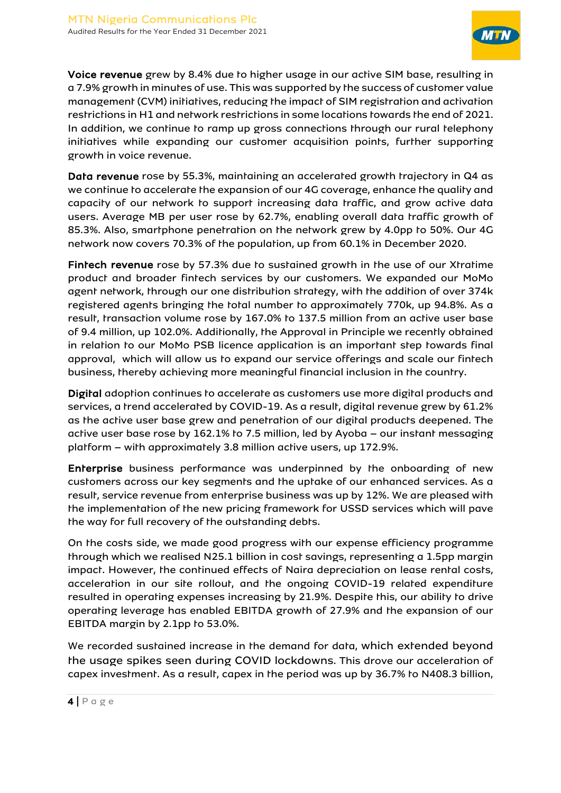

Voice revenue grew by 8.4% due to higher usage in our active SIM base, resulting in a 7.9% growth in minutes of use. This was supported by the success of customer value management (CVM) initiatives, reducing the impact of SIM registration and activation restrictions in H1 and network restrictions in some locations towards the end of 2021. In addition, we continue to ramp up gross connections through our rural telephony initiatives while expanding our customer acquisition points, further supporting growth in voice revenue.

Data revenue rose by 55.3%, maintaining an accelerated growth trajectory in Q4 as we continue to accelerate the expansion of our 4G coverage, enhance the quality and capacity of our network to support increasing data traffic, and grow active data users. Average MB per user rose by 62.7%, enabling overall data traffic growth of 85.3%. Also, smartphone penetration on the network grew by 4.0pp to 50%. Our 4G network now covers 70.3% of the population, up from 60.1% in December 2020.

Fintech revenue rose by 57.3% due to sustained growth in the use of our Xtratime product and broader fintech services by our customers. We expanded our MoMo agent network, through our one distribution strategy, with the addition of over 374k registered agents bringing the total number to approximately 770k, up 94.8%. As a result, transaction volume rose by 167.0% to 137.5 million from an active user base of 9.4 million, up 102.0%. Additionally, the Approval in Principle we recently obtained in relation to our MoMo PSB licence application is an important step towards final approval, which will allow us to expand our service offerings and scale our fintech business, thereby achieving more meaningful financial inclusion in the country.

Digital adoption continues to accelerate as customers use more digital products and services, a trend accelerated by COVID-19. As a result, digital revenue grew by 61.2% as the active user base grew and penetration of our digital products deepened. The active user base rose by 162.1% to 7.5 million, led by Ayoba – our instant messaging platform – with approximately 3.8 million active users, up 172.9%.

Enterprise business performance was underpinned by the onboarding of new customers across our key segments and the uptake of our enhanced services. As a result, service revenue from enterprise business was up by 12%. We are pleased with the implementation of the new pricing framework for USSD services which will pave the way for full recovery of the outstanding debts.

On the costs side, we made good progress with our expense efficiency programme through which we realised N25.1 billion in cost savings, representing a 1.5pp margin impact. However, the continued effects of Naira depreciation on lease rental costs, acceleration in our site rollout, and the ongoing COVID-19 related expenditure resulted in operating expenses increasing by 21.9%. Despite this, our ability to drive operating leverage has enabled EBITDA growth of 27.9% and the expansion of our EBITDA margin by 2.1pp to 53.0%.

We recorded sustained increase in the demand for data, which extended beyond the usage spikes seen during COVID lockdowns. This drove our acceleration of capex investment. As a result, capex in the period was up by 36.7% to N408.3 billion,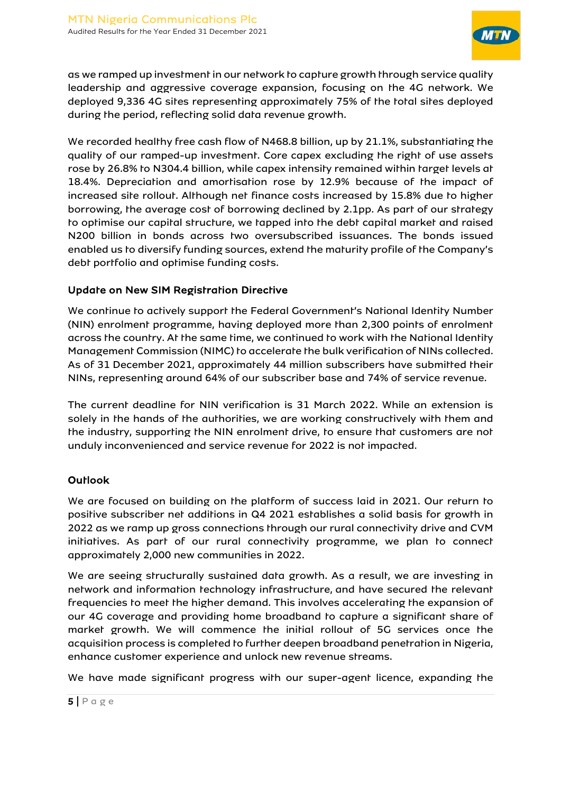

as we ramped up investment in our network to capture growth through service quality leadership and aggressive coverage expansion, focusing on the 4G network. We deployed 9,336 4G sites representing approximately 75% of the total sites deployed during the period, reflecting solid data revenue growth.

We recorded healthy free cash flow of N468.8 billion, up by 21.1%, substantiating the quality of our ramped-up investment. Core capex excluding the right of use assets rose by 26.8% to N304.4 billion, while capex intensity remained within target levels at 18.4%. Depreciation and amortisation rose by 12.9% because of the impact of increased site rollout. Although net finance costs increased by 15.8% due to higher borrowing, the average cost of borrowing declined by 2.1pp. As part of our strategy to optimise our capital structure, we tapped into the debt capital market and raised N200 billion in bonds across two oversubscribed issuances. The bonds issued enabled us to diversify funding sources, extend the maturity profile of the Company's debt portfolio and optimise funding costs.

# Update on New SIM Registration Directive

We continue to actively support the Federal Government's National Identity Number (NIN) enrolment programme, having deployed more than 2,300 points of enrolment across the country. At the same time, we continued to work with the National Identity Management Commission (NIMC) to accelerate the bulk verification of NINs collected. As of 31 December 2021, approximately 44 million subscribers have submitted their NINs, representing around 64% of our subscriber base and 74% of service revenue.

The current deadline for NIN verification is 31 March 2022. While an extension is solely in the hands of the authorities, we are working constructively with them and the industry, supporting the NIN enrolment drive, to ensure that customers are not unduly inconvenienced and service revenue for 2022 is not impacted.

# **Outlook**

We are focused on building on the platform of success laid in 2021. Our return to positive subscriber net additions in Q4 2021 establishes a solid basis for growth in 2022 as we ramp up gross connections through our rural connectivity drive and CVM initiatives. As part of our rural connectivity programme, we plan to connect approximately 2,000 new communities in 2022.

We are seeing structurally sustained data growth. As a result, we are investing in network and information technology infrastructure, and have secured the relevant frequencies to meet the higher demand. This involves accelerating the expansion of our 4G coverage and providing home broadband to capture a significant share of market growth. We will commence the initial rollout of 5G services once the acquisition process is completed to further deepen broadband penetration in Nigeria, enhance customer experience and unlock new revenue streams.

We have made significant progress with our super-agent licence, expanding the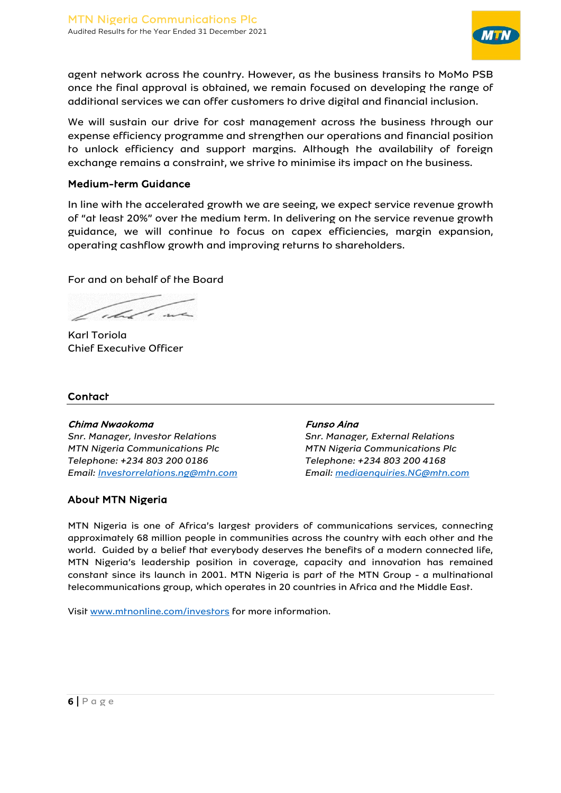

agent network across the country. However, as the business transits to MoMo PSB once the final approval is obtained, we remain focused on developing the range of additional services we can offer customers to drive digital and financial inclusion.

We will sustain our drive for cost management across the business through our expense efficiency programme and strengthen our operations and financial position to unlock efficiency and support margins. Although the availability of foreign exchange remains a constraint, we strive to minimise its impact on the business.

#### Medium-term Guidance

In line with the accelerated growth we are seeing, we expect service revenue growth of "at least 20%" over the medium term. In delivering on the service revenue growth guidance, we will continue to focus on capex efficiencies, margin expansion, operating cashflow growth and improving returns to shareholders.

#### For and on behalf of the Board

what in

Karl Toriola Chief Executive Officer

#### **Contact**

#### Chima Nwaokoma Funso Aina

*Snr. Manager, Investor Relations Snr. Manager, External Relations MTN Nigeria Communications Plc MTN Nigeria Communications Plc Telephone: +234 803 200 0186 Telephone: +234 803 200 4168 Email: [Investorrelations.ng@mtn.com](mailto:Investorrelations.ng@mtn.com) Email: [mediaenquiries.NG@mtn.com](mailto:mediaenquiries.NG@mtn.com)*

#### About MTN Nigeria

MTN Nigeria is one of Africa's largest providers of communications services, connecting approximately 68 million people in communities across the country with each other and the world. Guided by a belief that everybody deserves the benefits of a modern connected life, MTN Nigeria's leadership position in coverage, capacity and innovation has remained constant since its launch in 2001. MTN Nigeria is part of the MTN Group - a multinational telecommunications group, which operates in 20 countries in Africa and the Middle East.

Visit [www.mtnonline.com/](http://www.mtnonline.com/)investors for more information.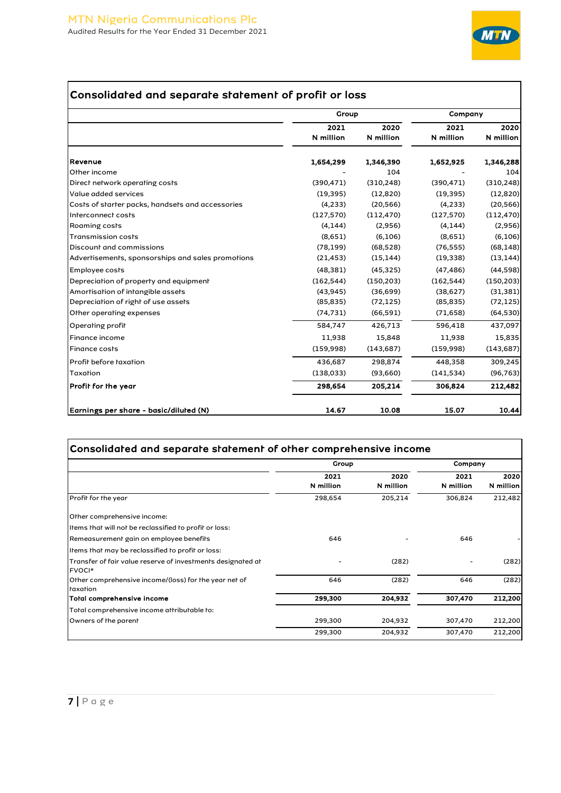

# Consolidated and separate statement of profit or loss

|                                                   | Group      |            | Company    |            |  |
|---------------------------------------------------|------------|------------|------------|------------|--|
|                                                   | 2021       | 2020       | 2021       | 2020       |  |
|                                                   | N million  | N million  | N million  | N million  |  |
| Revenue                                           | 1,654,299  | 1,346,390  | 1,652,925  | 1,346,288  |  |
| Other income                                      |            | 104        |            | 104        |  |
| Direct network operating costs                    | (390, 471) | (310, 248) | (390, 471) | (310, 248) |  |
| Value added services                              | (19, 395)  | (12, 820)  | (19, 395)  | (12, 820)  |  |
| Costs of starter packs, handsets and accessories  | (4, 233)   | (20, 566)  | (4, 233)   | (20, 566)  |  |
| Interconnect costs                                | (127, 570) | (112, 470) | (127, 570) | (112, 470) |  |
| Roaming costs                                     | (4, 144)   | (2,956)    | (4, 144)   | (2,956)    |  |
| <b>Transmission costs</b>                         | (8,651)    | (6, 106)   | (8,651)    | (6, 106)   |  |
| Discount and commissions                          | (78, 199)  | (68, 528)  | (76, 555)  | (68, 148)  |  |
| Advertisements, sponsorships and sales promotions | (21, 453)  | (15, 144)  | (19, 338)  | (13, 144)  |  |
| Employee costs                                    | (48, 381)  | (45, 325)  | (47, 486)  | (44,598)   |  |
| Depreciation of property and equipment            | (162, 544) | (150, 203) | (162, 544) | (150, 203) |  |
| Amortisation of intangible assets                 | (43, 945)  | (36,699)   | (38,627)   | (31, 381)  |  |
| Depreciation of right of use assets               | (85, 835)  | (72, 125)  | (85, 835)  | (72, 125)  |  |
| Other operating expenses                          | (74, 731)  | (66, 591)  | (71, 658)  | (64, 530)  |  |
| Operating profit                                  | 584,747    | 426,713    | 596,418    | 437,097    |  |
| <b>Finance income</b>                             | 11,938     | 15,848     | 11,938     | 15,835     |  |
| <b>Finance costs</b>                              | (159,998)  | (143, 687) | (159,998)  | (143, 687) |  |
| Profit before taxation                            | 436,687    | 298,874    | 448,358    | 309,245    |  |
| Taxation                                          | (138,033)  | (93,660)   | (141, 534) | (96, 763)  |  |
| Profit for the year                               | 298,654    | 205,214    | 306,824    | 212,482    |  |
| Earnings per share - basic/diluted (N)            | 14.67      | 10.08      | 15.07      | 10.44      |  |

|                                                                       | Group             |                   | Company           |                   |
|-----------------------------------------------------------------------|-------------------|-------------------|-------------------|-------------------|
|                                                                       | 2021<br>N million | 2020<br>N million | 2021<br>N million | 2020<br>N million |
| Profit for the year                                                   | 298,654           | 205,214           | 306,824           | 212,482           |
| Other comprehensive income:                                           |                   |                   |                   |                   |
| Items that will not be reclassified to profit or loss:                |                   |                   |                   |                   |
| Remeasurement gain on employee benefits                               | 646               |                   | 646               |                   |
| Items that may be reclassified to profit or loss:                     |                   |                   |                   |                   |
| Transfer of fair value reserve of investments designated at<br>FVOCI* |                   | (282)             |                   | (282)             |
| Other comprehensive income/(loss) for the year net of<br>taxation     | 646               | (282)             | 646               | (282)             |
| Total comprehensive income                                            | 299,300           | 204,932           | 307,470           | 212,200           |
| Total comprehensive income attributable to:                           |                   |                   |                   |                   |
| Owners of the parent                                                  | 299,300           | 204,932           | 307,470           | 212,200           |
|                                                                       | 299,300           | 204,932           | 307,470           | 212,200           |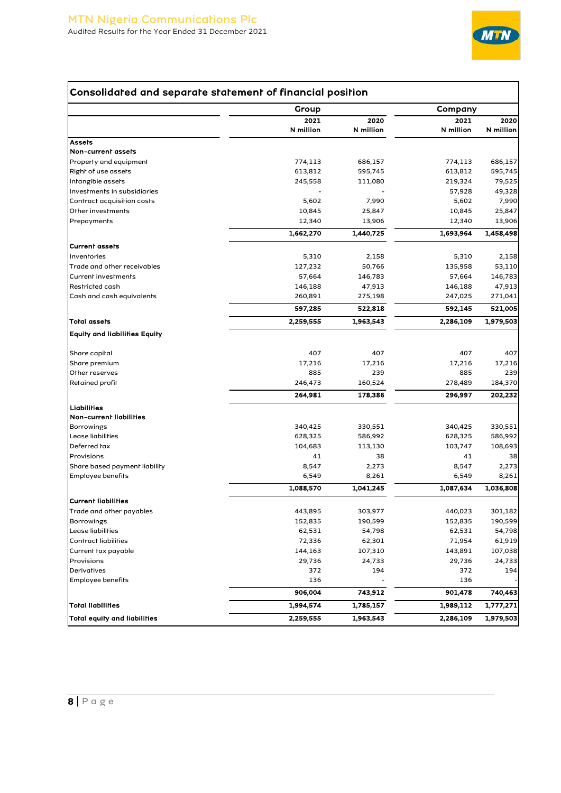

# Consolidated and separate statement of financial position

|                                      | Group     |           | Company   |           |
|--------------------------------------|-----------|-----------|-----------|-----------|
|                                      | 2021      | 2020      | 2021      | 2020      |
|                                      | N million | N million | N million | N million |
| <b>Assets</b>                        |           |           |           |           |
| Non-current assets                   |           |           |           |           |
| Property and equipment               | 774,113   | 686,157   | 774,113   | 686,157   |
| Right of use assets                  | 613,812   | 595,745   | 613,812   | 595,745   |
| Intangible assets                    | 245,558   | 111,080   | 219,324   | 79,525    |
| Investments in subsidiaries          |           |           | 57,928    | 49,328    |
| Contract acquisition costs           | 5,602     | 7,990     | 5,602     | 7,990     |
| Other investments                    | 10,845    | 25,847    | 10,845    | 25,847    |
| Prepayments                          | 12,340    | 13,906    | 12,340    | 13,906    |
|                                      | 1,662,270 | 1,440,725 | 1,693,964 | 1,458,498 |
| <b>Current assets</b>                |           |           |           |           |
| Inventories                          | 5,310     | 2,158     | 5,310     | 2,158     |
| Trade and other receivables          | 127,232   | 50,766    | 135,958   | 53,110    |
| Current investments                  | 57,664    | 146,783   | 57,664    | 146,783   |
| Restricted cash                      | 146,188   | 47,913    | 146,188   | 47,913    |
| Cash and cash equivalents            | 260,891   | 275,198   | 247,025   | 271,041   |
|                                      | 597,285   | 522,818   | 592,145   | 521,005   |
| <b>Total assets</b>                  | 2,259,555 | 1,963,543 | 2,286,109 | 1,979,503 |
| <b>Equity and liabilities Equity</b> |           |           |           |           |
| Share capital                        | 407       | 407       | 407       | 407       |
| Share premium                        | 17,216    | 17,216    | 17,216    | 17,216    |
| Other reserves                       | 885       | 239       | 885       | 239       |
| Retained profit                      | 246,473   | 160,524   | 278,489   | 184,370   |
|                                      | 264,981   | 178,386   | 296,997   | 202,232   |
| Liabilities                          |           |           |           |           |
| Non-current liabilities              |           |           |           |           |
| Borrowings                           | 340,425   | 330,551   | 340,425   | 330,551   |
| Lease liabilities                    | 628,325   | 586,992   | 628,325   | 586,992   |
| Deferred rax                         | 104,683   | 113,130   | 103,747   | 108,693   |
| Provisions                           | 41        | 38        | 41        | 38        |
| Share based payment liability        | 8,547     | 2,273     | 8,547     | 2,273     |
| Employee benefirs                    | 6,549     | 8,261     | 6,549     | 8,261     |
|                                      | 1,088,570 | 1,041,245 | 1,087,634 | 1,036,808 |
| <b>Current liabilities</b>           |           |           |           |           |
| Trade and other payables             | 443,895   | 303,977   | 440,023   | 301,182   |
| Borrowings                           | 152,835   | 190,599   | 152,835   | 190,599   |
| Lease liabilities                    | 62,531    | 54,798    | 62,531    | 54,798    |
| <b>Contract liabilities</b>          | 72,336    | 62,301    | 71,954    | 61,919    |
| Current tax payable                  | 144,163   | 107,310   | 143,891   | 107,038   |
| Provisions                           | 29,736    | 24,733    | 29,736    | 24,733    |
| Derivatives                          | 372       | 194       | 372       | 194       |
| Employee benefirs                    | 136       |           | 136       |           |
|                                      | 906,004   | 743,912   | 901,478   | 740,463   |
| <b>Total liabilities</b>             | 1,994,574 | 1,785,157 | 1,989,112 | 1,777,271 |
| <b>Total equity and liabilities</b>  | 2,259,555 | 1,963,543 | 2,286,109 | 1,979,503 |